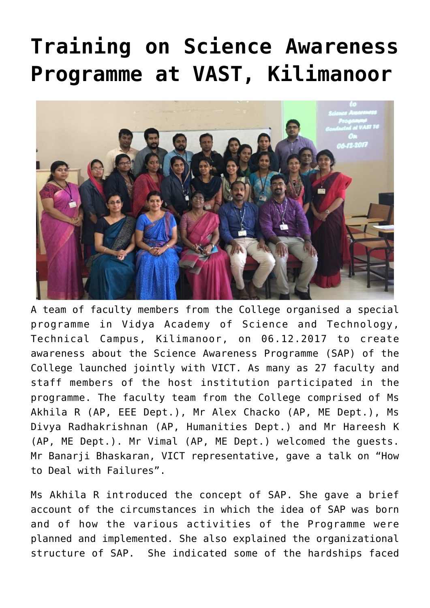## **[Training on Science Awareness](https://news.vidyaacademy.ac.in/2017/12/13/training-on-science-awareness-programme-at-vast-kilimanoor/) [Programme at VAST, Kilimanoor](https://news.vidyaacademy.ac.in/2017/12/13/training-on-science-awareness-programme-at-vast-kilimanoor/)**



A team of faculty members from the College organised a special programme in Vidya Academy of Science and Technology, Technical Campus, Kilimanoor, on 06.12.2017 to create awareness about the Science Awareness Programme (SAP) of the College launched jointly with VICT. As many as 27 faculty and staff members of the host institution participated in the programme. The faculty team from the College comprised of Ms Akhila R (AP, EEE Dept.), Mr Alex Chacko (AP, ME Dept.), Ms Divya Radhakrishnan (AP, Humanities Dept.) and Mr Hareesh K (AP, ME Dept.). Mr Vimal (AP, ME Dept.) welcomed the guests. Mr Banarji Bhaskaran, VICT representative, gave a talk on "How to Deal with Failures".

Ms Akhila R introduced the concept of SAP. She gave a brief account of the circumstances in which the idea of SAP was born and of how the various activities of the Programme were planned and implemented. She also explained the organizational structure of SAP. She indicated some of the hardships faced